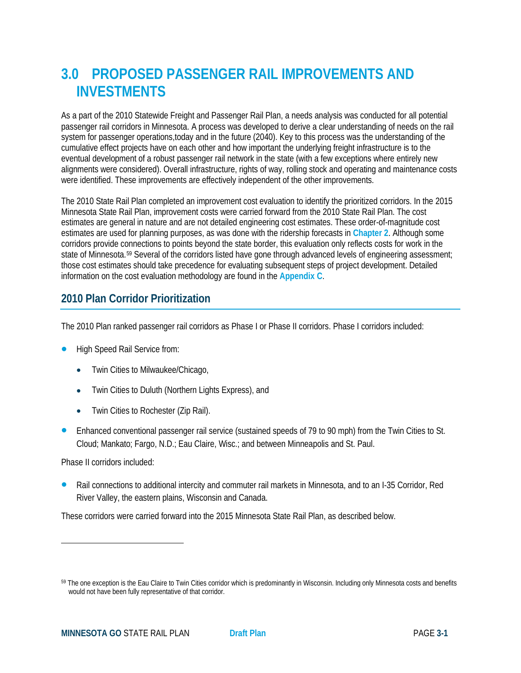# **3.0 PROPOSED PASSENGER RAIL IMPROVEMENTS AND INVESTMENTS**

As a part of the 2010 Statewide Freight and Passenger Rail Plan, a needs analysis was conducted for all potential passenger rail corridors in Minnesota. A process was developed to derive a clear understanding of needs on the rail system for passenger operations,today and in the future (2040). Key to this process was the understanding of the cumulative effect projects have on each other and how important the underlying freight infrastructure is to the eventual development of a robust passenger rail network in the state (with a few exceptions where entirely new alignments were considered). Overall infrastructure, rights of way, rolling stock and operating and maintenance costs were identified. These improvements are effectively independent of the other improvements.

The 2010 State Rail Plan completed an improvement cost evaluation to identify the prioritized corridors. In the 2015 Minnesota State Rail Plan, improvement costs were carried forward from the 2010 State Rail Plan. The cost estimates are general in nature and are not detailed engineering cost estimates. These order-of-magnitude cost estimates are used for planning purposes, as was done with the ridership forecasts in **Chapter 2**. Although some corridors provide connections to points beyond the state border, this evaluation only reflects costs for work in the state of Minnesota.[59](#page-0-0) Several of the corridors listed have gone through advanced levels of engineering assessment; those cost estimates should take precedence for evaluating subsequent steps of project development. Detailed information on the cost evaluation methodology are found in the **Appendix C**.

# **2010 Plan Corridor Prioritization**

The 2010 Plan ranked passenger rail corridors as Phase I or Phase II corridors. Phase I corridors included:

- High Speed Rail Service from:
	- Twin Cities to Milwaukee/Chicago,
	- Twin Cities to Duluth (Northern Lights Express), and
	- Twin Cities to Rochester (Zip Rail).
- Enhanced conventional passenger rail service (sustained speeds of 79 to 90 mph) from the Twin Cities to St. Cloud; Mankato; Fargo, N.D.; Eau Claire, Wisc.; and between Minneapolis and St. Paul.

Phase II corridors included:

 $\overline{\phantom{a}}$ 

 Rail connections to additional intercity and commuter rail markets in Minnesota, and to an I-35 Corridor, Red River Valley, the eastern plains, Wisconsin and Canada.

These corridors were carried forward into the 2015 Minnesota State Rail Plan, as described below.

<span id="page-0-0"></span><sup>&</sup>lt;sup>59</sup> The one exception is the Eau Claire to Twin Cities corridor which is predominantly in Wisconsin. Including only Minnesota costs and benefits would not have been fully representative of that corridor.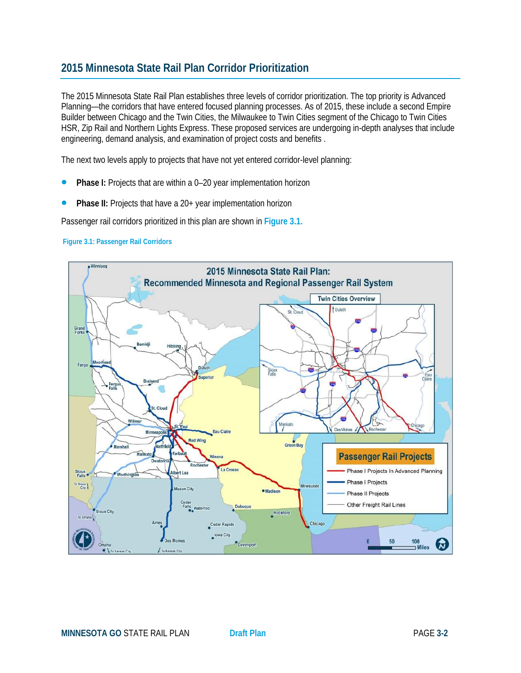# **2015 Minnesota State Rail Plan Corridor Prioritization**

The 2015 Minnesota State Rail Plan establishes three levels of corridor prioritization. The top priority is Advanced Planning—the corridors that have entered focused planning processes. As of 2015, these include a second Empire Builder between Chicago and the Twin Cities, the Milwaukee to Twin Cities segment of the Chicago to Twin Cities HSR, Zip Rail and Northern Lights Express. These proposed services are undergoing in-depth analyses that include engineering, demand analysis, and examination of project costs and benefits .

The next two levels apply to projects that have not yet entered corridor-level planning:

- **Phase I:** Projects that are within a 0–20 year implementation horizon
- **Phase II:** Projects that have a 20+ year implementation horizon

Passenger rail corridors prioritized in this plan are shown in **Figure 3.1.** 

#### **Figure 3.1: Passenger Rail Corridors**

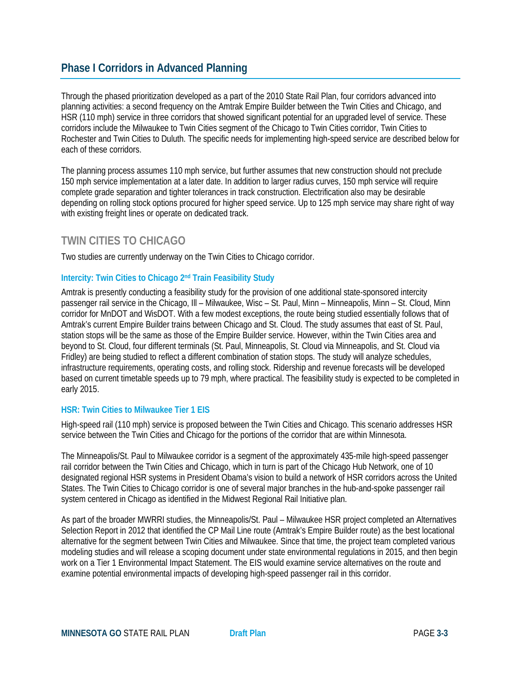### **Phase I Corridors in Advanced Planning**

Through the phased prioritization developed as a part of the 2010 State Rail Plan, four corridors advanced into planning activities: a second frequency on the Amtrak Empire Builder between the Twin Cities and Chicago, and HSR (110 mph) service in three corridors that showed significant potential for an upgraded level of service. These corridors include the Milwaukee to Twin Cities segment of the Chicago to Twin Cities corridor, Twin Cities to Rochester and Twin Cities to Duluth. The specific needs for implementing high-speed service are described below for each of these corridors.

The planning process assumes 110 mph service, but further assumes that new construction should not preclude 150 mph service implementation at a later date. In addition to larger radius curves, 150 mph service will require complete grade separation and tighter tolerances in track construction. Electrification also may be desirable depending on rolling stock options procured for higher speed service. Up to 125 mph service may share right of way with existing freight lines or operate on dedicated track.

### **TWIN CITIES TO CHICAGO**

Two studies are currently underway on the Twin Cities to Chicago corridor.

#### **Intercity: Twin Cities to Chicago 2nd Train Feasibility Study**

Amtrak is presently conducting a feasibility study for the provision of one additional state-sponsored intercity passenger rail service in the Chicago, Ill – Milwaukee, Wisc – St. Paul, Minn – Minneapolis, Minn – St. Cloud, Minn corridor for MnDOT and WisDOT. With a few modest exceptions, the route being studied essentially follows that of Amtrak's current Empire Builder trains between Chicago and St. Cloud. The study assumes that east of St. Paul, station stops will be the same as those of the Empire Builder service. However, within the Twin Cities area and beyond to St. Cloud, four different terminals (St. Paul, Minneapolis, St. Cloud via Minneapolis, and St. Cloud via Fridley) are being studied to reflect a different combination of station stops. The study will analyze schedules, infrastructure requirements, operating costs, and rolling stock. Ridership and revenue forecasts will be developed based on current timetable speeds up to 79 mph, where practical. The feasibility study is expected to be completed in early 2015.

#### **HSR: Twin Cities to Milwaukee Tier 1 EIS**

High-speed rail (110 mph) service is proposed between the Twin Cities and Chicago. This scenario addresses HSR service between the Twin Cities and Chicago for the portions of the corridor that are within Minnesota.

The Minneapolis/St. Paul to Milwaukee corridor is a segment of the approximately 435-mile high-speed passenger rail corridor between the Twin Cities and Chicago, which in turn is part of the Chicago Hub Network, one of 10 designated regional HSR systems in President Obama's vision to build a network of HSR corridors across the United States. The Twin Cities to Chicago corridor is one of several major branches in the hub-and-spoke passenger rail system centered in Chicago as identified in the Midwest Regional Rail Initiative plan.

As part of the broader MWRRI studies, the Minneapolis/St. Paul – Milwaukee HSR project completed an Alternatives Selection Report in 2012 that identified the CP Mail Line route (Amtrak's Empire Builder route) as the best locational alternative for the segment between Twin Cities and Milwaukee. Since that time, the project team completed various modeling studies and will release a scoping document under state environmental regulations in 2015, and then begin work on a Tier 1 Environmental Impact Statement. The EIS would examine service alternatives on the route and examine potential environmental impacts of developing high-speed passenger rail in this corridor.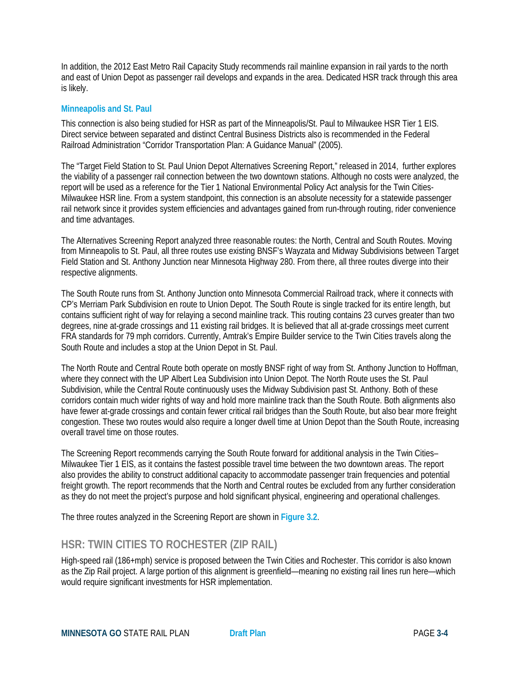In addition, the 2012 East Metro Rail Capacity Study recommends rail mainline expansion in rail yards to the north and east of Union Depot as passenger rail develops and expands in the area. Dedicated HSR track through this area is likely.

#### **Minneapolis and St. Paul**

This connection is also being studied for HSR as part of the Minneapolis/St. Paul to Milwaukee HSR Tier 1 EIS. Direct service between separated and distinct Central Business Districts also is recommended in the Federal Railroad Administration "Corridor Transportation Plan: A Guidance Manual" (2005).

The "Target Field Station to St. Paul Union Depot Alternatives Screening Report," released in 2014, further explores the viability of a passenger rail connection between the two downtown stations. Although no costs were analyzed, the report will be used as a reference for the Tier 1 National Environmental Policy Act analysis for the Twin Cities-Milwaukee HSR line. From a system standpoint, this connection is an absolute necessity for a statewide passenger rail network since it provides system efficiencies and advantages gained from run-through routing, rider convenience and time advantages.

The Alternatives Screening Report analyzed three reasonable routes: the North, Central and South Routes. Moving from Minneapolis to St. Paul, all three routes use existing BNSF's Wayzata and Midway Subdivisions between Target Field Station and St. Anthony Junction near Minnesota Highway 280. From there, all three routes diverge into their respective alignments.

The South Route runs from St. Anthony Junction onto Minnesota Commercial Railroad track, where it connects with CP's Merriam Park Subdivision en route to Union Depot. The South Route is single tracked for its entire length, but contains sufficient right of way for relaying a second mainline track. This routing contains 23 curves greater than two degrees, nine at-grade crossings and 11 existing rail bridges. It is believed that all at-grade crossings meet current FRA standards for 79 mph corridors. Currently, Amtrak's Empire Builder service to the Twin Cities travels along the South Route and includes a stop at the Union Depot in St. Paul.

The North Route and Central Route both operate on mostly BNSF right of way from St. Anthony Junction to Hoffman, where they connect with the UP Albert Lea Subdivision into Union Depot. The North Route uses the St. Paul Subdivision, while the Central Route continuously uses the Midway Subdivision past St. Anthony. Both of these corridors contain much wider rights of way and hold more mainline track than the South Route. Both alignments also have fewer at-grade crossings and contain fewer critical rail bridges than the South Route, but also bear more freight congestion. These two routes would also require a longer dwell time at Union Depot than the South Route, increasing overall travel time on those routes.

The Screening Report recommends carrying the South Route forward for additional analysis in the Twin Cities– Milwaukee Tier 1 EIS, as it contains the fastest possible travel time between the two downtown areas. The report also provides the ability to construct additional capacity to accommodate passenger train frequencies and potential freight growth. The report recommends that the North and Central routes be excluded from any further consideration as they do not meet the project's purpose and hold significant physical, engineering and operational challenges.

The three routes analyzed in the Screening Report are shown in **Figure 3.2**.

### **HSR: TWIN CITIES TO ROCHESTER (ZIP RAIL)**

High-speed rail (186+mph) service is proposed between the Twin Cities and Rochester. This corridor is also known as the Zip Rail project. A large portion of this alignment is greenfield—meaning no existing rail lines run here—which would require significant investments for HSR implementation.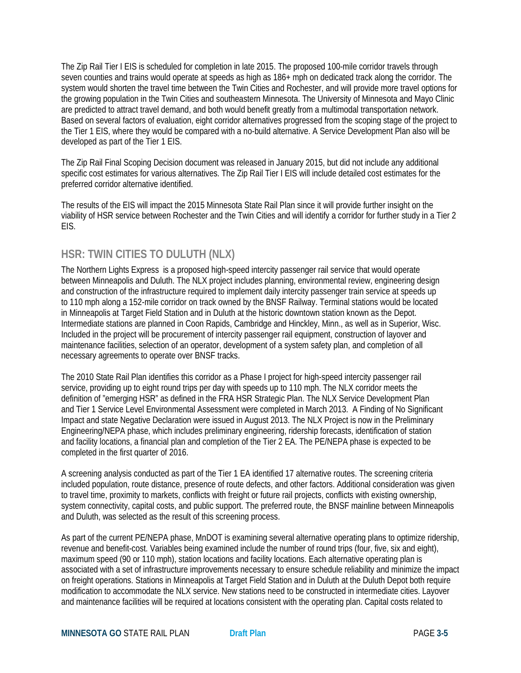The Zip Rail Tier I EIS is scheduled for completion in late 2015. The proposed 100-mile corridor travels through seven counties and trains would operate at speeds as high as 186+ mph on dedicated track along the corridor. The system would shorten the travel time between the Twin Cities and Rochester, and will provide more travel options for the growing population in the Twin Cities and southeastern Minnesota. The University of Minnesota and Mayo Clinic are predicted to attract travel demand, and both would benefit greatly from a multimodal transportation network. Based on several factors of evaluation, eight corridor alternatives progressed from the scoping stage of the project to the Tier 1 EIS, where they would be compared with a no-build alternative. A Service Development Plan also will be developed as part of the Tier 1 EIS.

The Zip Rail Final Scoping Decision document was released in January 2015, but did not include any additional specific cost estimates for various alternatives. The Zip Rail Tier I EIS will include detailed cost estimates for the preferred corridor alternative identified.

The results of the EIS will impact the 2015 Minnesota State Rail Plan since it will provide further insight on the viability of HSR service between Rochester and the Twin Cities and will identify a corridor for further study in a Tier 2 EIS.

# **HSR: TWIN CITIES TO DULUTH (NLX)**

The Northern Lights Express is a proposed high-speed intercity passenger rail service that would operate between Minneapolis and Duluth. The NLX project includes planning, environmental review, engineering design and construction of the infrastructure required to implement daily intercity passenger train service at speeds up to 110 mph along a 152-mile corridor on track owned by the BNSF Railway. Terminal stations would be located in Minneapolis at Target Field Station and in Duluth at the historic downtown station known as the Depot. Intermediate stations are planned in Coon Rapids, Cambridge and Hinckley, Minn., as well as in Superior, Wisc. Included in the project will be procurement of intercity passenger rail equipment, construction of layover and maintenance facilities, selection of an operator, development of a system safety plan, and completion of all necessary agreements to operate over BNSF tracks.

The 2010 State Rail Plan identifies this corridor as a Phase I project for high-speed intercity passenger rail service, providing up to eight round trips per day with speeds up to 110 mph. The NLX corridor meets the definition of "emerging HSR" as defined in the FRA HSR Strategic Plan. The NLX Service Development Plan and Tier 1 Service Level Environmental Assessment were completed in March 2013. A Finding of No Significant Impact and state Negative Declaration were issued in August 2013. The NLX Project is now in the Preliminary Engineering/NEPA phase, which includes preliminary engineering, ridership forecasts, identification of station and facility locations, a financial plan and completion of the Tier 2 EA. The PE/NEPA phase is expected to be completed in the first quarter of 2016.

A screening analysis conducted as part of the Tier 1 EA identified 17 alternative routes. The screening criteria included population, route distance, presence of route defects, and other factors. Additional consideration was given to travel time, proximity to markets, conflicts with freight or future rail projects, conflicts with existing ownership, system connectivity, capital costs, and public support. The preferred route, the BNSF mainline between Minneapolis and Duluth, was selected as the result of this screening process.

As part of the current PE/NEPA phase, MnDOT is examining several alternative operating plans to optimize ridership, revenue and benefit-cost. Variables being examined include the number of round trips (four, five, six and eight), maximum speed (90 or 110 mph), station locations and facility locations. Each alternative operating plan is associated with a set of infrastructure improvements necessary to ensure schedule reliability and minimize the impact on freight operations. Stations in Minneapolis at Target Field Station and in Duluth at the Duluth Depot both require modification to accommodate the NLX service. New stations need to be constructed in intermediate cities. Layover and maintenance facilities will be required at locations consistent with the operating plan. Capital costs related to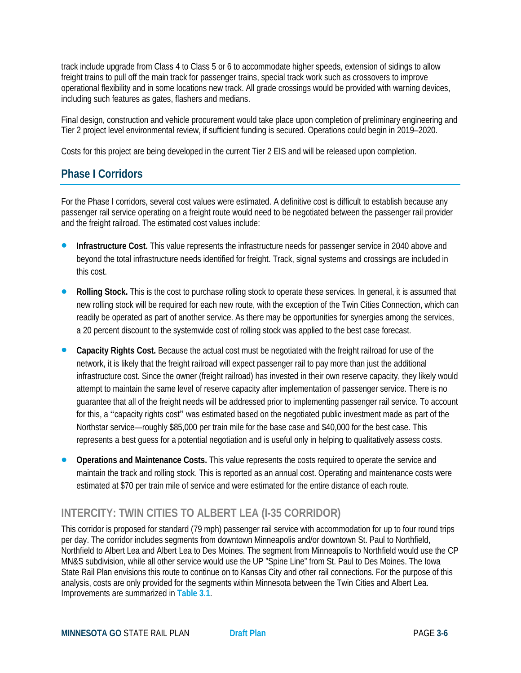track include upgrade from Class 4 to Class 5 or 6 to accommodate higher speeds, extension of sidings to allow freight trains to pull off the main track for passenger trains, special track work such as crossovers to improve operational flexibility and in some locations new track. All grade crossings would be provided with warning devices, including such features as gates, flashers and medians.

Final design, construction and vehicle procurement would take place upon completion of preliminary engineering and Tier 2 project level environmental review, if sufficient funding is secured. Operations could begin in 2019–2020.

Costs for this project are being developed in the current Tier 2 EIS and will be released upon completion.

# **Phase I Corridors**

For the Phase I corridors, several cost values were estimated. A definitive cost is difficult to establish because any passenger rail service operating on a freight route would need to be negotiated between the passenger rail provider and the freight railroad. The estimated cost values include:

- **Infrastructure Cost.** This value represents the infrastructure needs for passenger service in 2040 above and beyond the total infrastructure needs identified for freight. Track, signal systems and crossings are included in this cost.
- **Rolling Stock.** This is the cost to purchase rolling stock to operate these services. In general, it is assumed that new rolling stock will be required for each new route, with the exception of the Twin Cities Connection, which can readily be operated as part of another service. As there may be opportunities for synergies among the services, a 20 percent discount to the systemwide cost of rolling stock was applied to the best case forecast.
- **Capacity Rights Cost.** Because the actual cost must be negotiated with the freight railroad for use of the network, it is likely that the freight railroad will expect passenger rail to pay more than just the additional infrastructure cost. Since the owner (freight railroad) has invested in their own reserve capacity, they likely would attempt to maintain the same level of reserve capacity after implementation of passenger service. There is no guarantee that all of the freight needs will be addressed prior to implementing passenger rail service. To account for this, a "capacity rights cost" was estimated based on the negotiated public investment made as part of the Northstar service—roughly \$85,000 per train mile for the base case and \$40,000 for the best case. This represents a best guess for a potential negotiation and is useful only in helping to qualitatively assess costs.
- **Operations and Maintenance Costs.** This value represents the costs required to operate the service and maintain the track and rolling stock. This is reported as an annual cost. Operating and maintenance costs were estimated at \$70 per train mile of service and were estimated for the entire distance of each route.

# **INTERCITY: TWIN CITIES TO ALBERT LEA (I-35 CORRIDOR)**

This corridor is proposed for standard (79 mph) passenger rail service with accommodation for up to four round trips per day. The corridor includes segments from downtown Minneapolis and/or downtown St. Paul to Northfield, Northfield to Albert Lea and Albert Lea to Des Moines. The segment from Minneapolis to Northfield would use the CP MN&S subdivision, while all other service would use the UP "Spine Line" from St. Paul to Des Moines. The Iowa State Rail Plan envisions this route to continue on to Kansas City and other rail connections. For the purpose of this analysis, costs are only provided for the segments within Minnesota between the Twin Cities and Albert Lea. Improvements are summarized in **Table 3.1**.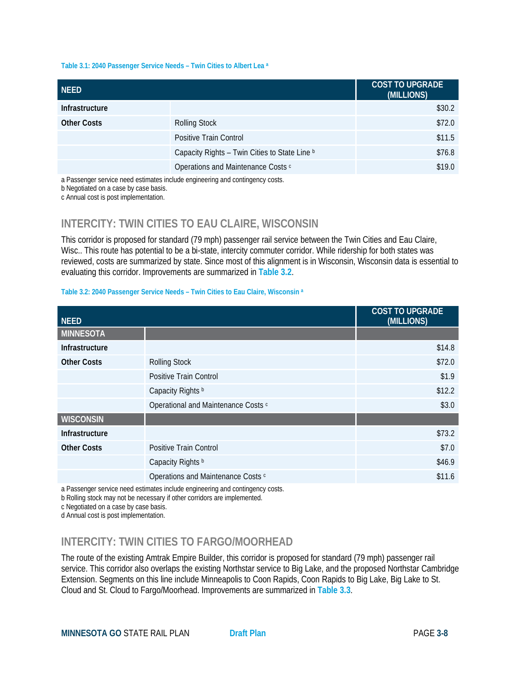#### **Table 3.1: 2040 Passenger Service Needs – Twin Cities to Albert Lea a**

| <b>NEED</b>        |                                                                              | <b>COST TO UPGRADE</b><br>(MILLIONS) |
|--------------------|------------------------------------------------------------------------------|--------------------------------------|
| Infrastructure     |                                                                              | \$30.2                               |
| <b>Other Costs</b> | <b>Rolling Stock</b>                                                         | \$72.0                               |
|                    | Positive Train Control                                                       | \$11.5                               |
|                    | Capacity Rights - Twin Cities to State Line b                                | \$76.8                               |
|                    | Operations and Maintenance Costs c                                           | \$19.0                               |
|                    | a Paccongor sonrico nood ostimatos includo onginooring and contingency costs |                                      |

a Passenger service need estimates include engineering and contingency costs.

b Negotiated on a case by case basis.

c Annual cost is post implementation.

### **INTERCITY: TWIN CITIES TO EAU CLAIRE, WISCONSIN**

This corridor is proposed for standard (79 mph) passenger rail service between the Twin Cities and Eau Claire, Wisc.. This route has potential to be a bi-state, intercity commuter corridor. While ridership for both states was reviewed, costs are summarized by state. Since most of this alignment is in Wisconsin, Wisconsin data is essential to evaluating this corridor. Improvements are summarized in **Table 3.2**.

#### **Table 3.2: 2040 Passenger Service Needs – Twin Cities to Eau Claire, Wisconsin a**

| <b>NEED</b>        |                                     | <b>COST TO UPGRADE</b><br>(MILLIONS) |
|--------------------|-------------------------------------|--------------------------------------|
| <b>MINNESOTA</b>   |                                     |                                      |
| Infrastructure     |                                     | \$14.8                               |
| <b>Other Costs</b> | <b>Rolling Stock</b>                | \$72.0                               |
|                    | Positive Train Control              | \$1.9                                |
|                    | Capacity Rights b                   | \$12.2                               |
|                    | Operational and Maintenance Costs c | \$3.0                                |
| <b>WISCONSIN</b>   |                                     |                                      |
| Infrastructure     |                                     | \$73.2                               |
| <b>Other Costs</b> | Positive Train Control              | \$7.0                                |
|                    | Capacity Rights b                   | \$46.9                               |
|                    | Operations and Maintenance Costs c  | \$11.6                               |

a Passenger service need estimates include engineering and contingency costs.

b Rolling stock may not be necessary if other corridors are implemented.

c Negotiated on a case by case basis.

d Annual cost is post implementation.

# **INTERCITY: TWIN CITIES TO FARGO/MOORHEAD**

The route of the existing Amtrak Empire Builder, this corridor is proposed for standard (79 mph) passenger rail service. This corridor also overlaps the existing Northstar service to Big Lake, and the proposed Northstar Cambridge Extension. Segments on this line include Minneapolis to Coon Rapids, Coon Rapids to Big Lake, Big Lake to St. Cloud and St. Cloud to Fargo/Moorhead. Improvements are summarized in **Table 3.3**.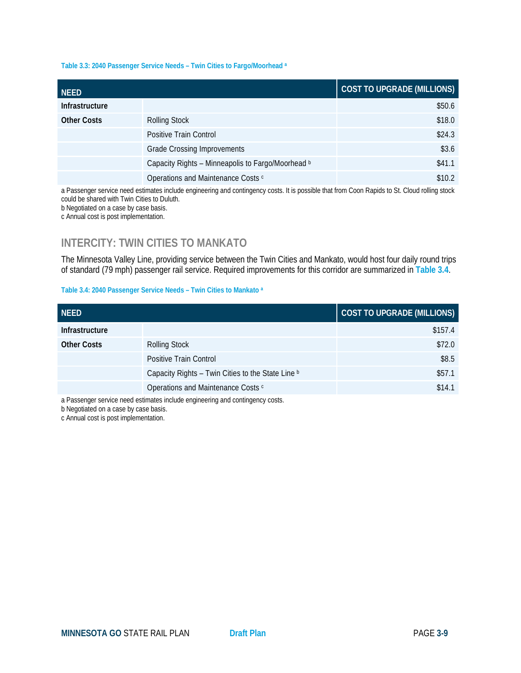#### **Table 3.3: 2040 Passenger Service Needs – Twin Cities to Fargo/Moorhead a**

| <b>NEED</b>           |                                                   | <b>COST TO UPGRADE (MILLIONS)</b> |
|-----------------------|---------------------------------------------------|-----------------------------------|
| <b>Infrastructure</b> |                                                   | \$50.6                            |
| <b>Other Costs</b>    | <b>Rolling Stock</b>                              | \$18.0                            |
|                       | Positive Train Control                            | \$24.3                            |
|                       | <b>Grade Crossing Improvements</b>                | \$3.6                             |
|                       | Capacity Rights - Minneapolis to Fargo/Moorhead b | \$41.1                            |
|                       | Operations and Maintenance Costs c                | \$10.2                            |

a Passenger service need estimates include engineering and contingency costs. It is possible that from Coon Rapids to St. Cloud rolling stock could be shared with Twin Cities to Duluth. b Negotiated on a case by case basis.

c Annual cost is post implementation.

### **INTERCITY: TWIN CITIES TO MANKATO**

The Minnesota Valley Line, providing service between the Twin Cities and Mankato, would host four daily round trips of standard (79 mph) passenger rail service. Required improvements for this corridor are summarized in **Table 3.4**.

#### **Table 3.4: 2040 Passenger Service Needs – Twin Cities to Mankato a**

| <b>NEED</b>        |                                                   | <b>COST TO UPGRADE (MILLIONS)</b> |
|--------------------|---------------------------------------------------|-----------------------------------|
| Infrastructure     |                                                   | \$157.4                           |
| <b>Other Costs</b> | <b>Rolling Stock</b>                              | \$72.0                            |
|                    | Positive Train Control                            | \$8.5                             |
|                    | Capacity Rights - Twin Cities to the State Line b | \$57.1                            |
|                    | Operations and Maintenance Costs c                | \$14.1                            |

a Passenger service need estimates include engineering and contingency costs.

b Negotiated on a case by case basis.

c Annual cost is post implementation.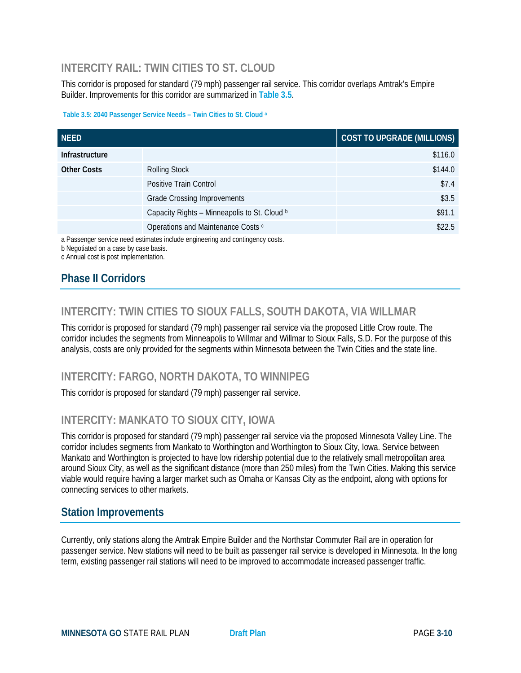# **INTERCITY RAIL: TWIN CITIES TO ST. CLOUD**

This corridor is proposed for standard (79 mph) passenger rail service. This corridor overlaps Amtrak's Empire Builder. Improvements for this corridor are summarized in **Table 3.5**.

#### **Table 3.5: 2040 Passenger Service Needs – Twin Cities to St. Cloud a**

| <b>NEED</b>           |                                              | COST TO UPGRADE (MILLIONS) |
|-----------------------|----------------------------------------------|----------------------------|
| <b>Infrastructure</b> |                                              | \$116.0                    |
| <b>Other Costs</b>    | <b>Rolling Stock</b>                         | \$144.0                    |
|                       | Positive Train Control                       | \$7.4                      |
|                       | <b>Grade Crossing Improvements</b>           | \$3.5                      |
|                       | Capacity Rights - Minneapolis to St. Cloud b | \$91.1                     |
|                       | Operations and Maintenance Costs c           | \$22.5                     |

a Passenger service need estimates include engineering and contingency costs.

b Negotiated on a case by case basis.

### c Annual cost is post implementation.

# **Phase II Corridors**

# **INTERCITY: TWIN CITIES TO SIOUX FALLS, SOUTH DAKOTA, VIA WILLMAR**

This corridor is proposed for standard (79 mph) passenger rail service via the proposed Little Crow route. The corridor includes the segments from Minneapolis to Willmar and Willmar to Sioux Falls, S.D. For the purpose of this analysis, costs are only provided for the segments within Minnesota between the Twin Cities and the state line.

# **INTERCITY: FARGO, NORTH DAKOTA, TO WINNIPEG**

This corridor is proposed for standard (79 mph) passenger rail service.

# **INTERCITY: MANKATO TO SIOUX CITY, IOWA**

This corridor is proposed for standard (79 mph) passenger rail service via the proposed Minnesota Valley Line. The corridor includes segments from Mankato to Worthington and Worthington to Sioux City, Iowa. Service between Mankato and Worthington is projected to have low ridership potential due to the relatively small metropolitan area around Sioux City, as well as the significant distance (more than 250 miles) from the Twin Cities. Making this service viable would require having a larger market such as Omaha or Kansas City as the endpoint, along with options for connecting services to other markets.

### **Station Improvements**

Currently, only stations along the Amtrak Empire Builder and the Northstar Commuter Rail are in operation for passenger service. New stations will need to be built as passenger rail service is developed in Minnesota. In the long term, existing passenger rail stations will need to be improved to accommodate increased passenger traffic.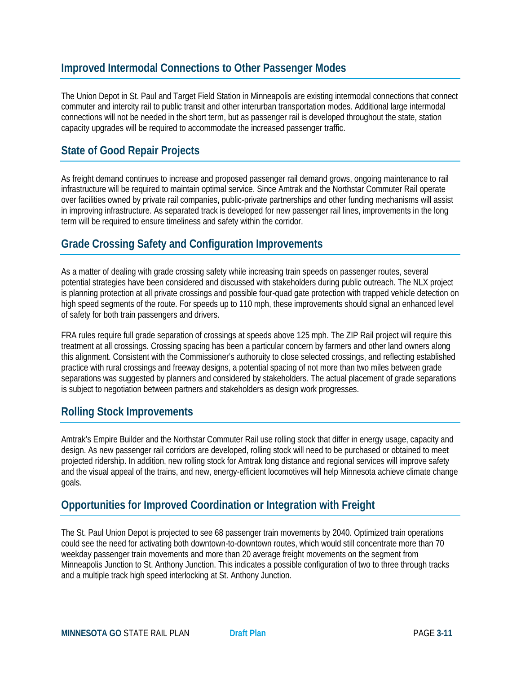### **Improved Intermodal Connections to Other Passenger Modes**

The Union Depot in St. Paul and Target Field Station in Minneapolis are existing intermodal connections that connect commuter and intercity rail to public transit and other interurban transportation modes. Additional large intermodal connections will not be needed in the short term, but as passenger rail is developed throughout the state, station capacity upgrades will be required to accommodate the increased passenger traffic.

# **State of Good Repair Projects**

As freight demand continues to increase and proposed passenger rail demand grows, ongoing maintenance to rail infrastructure will be required to maintain optimal service. Since Amtrak and the Northstar Commuter Rail operate over facilities owned by private rail companies, public-private partnerships and other funding mechanisms will assist in improving infrastructure. As separated track is developed for new passenger rail lines, improvements in the long term will be required to ensure timeliness and safety within the corridor.

### **Grade Crossing Safety and Configuration Improvements**

As a matter of dealing with grade crossing safety while increasing train speeds on passenger routes, several potential strategies have been considered and discussed with stakeholders during public outreach. The NLX project is planning protection at all private crossings and possible four-quad gate protection with trapped vehicle detection on high speed segments of the route. For speeds up to 110 mph, these improvements should signal an enhanced level of safety for both train passengers and drivers.

FRA rules require full grade separation of crossings at speeds above 125 mph. The ZIP Rail project will require this treatment at all crossings. Crossing spacing has been a particular concern by farmers and other land owners along this alignment. Consistent with the Commissioner's authoruity to close selected crossings, and reflecting established practice with rural crossings and freeway designs, a potential spacing of not more than two miles between grade separations was suggested by planners and considered by stakeholders. The actual placement of grade separations is subject to negotiation between partners and stakeholders as design work progresses.

### **Rolling Stock Improvements**

Amtrak's Empire Builder and the Northstar Commuter Rail use rolling stock that differ in energy usage, capacity and design. As new passenger rail corridors are developed, rolling stock will need to be purchased or obtained to meet projected ridership. In addition, new rolling stock for Amtrak long distance and regional services will improve safety and the visual appeal of the trains, and new, energy-efficient locomotives will help Minnesota achieve climate change goals.

# **Opportunities for Improved Coordination or Integration with Freight**

The St. Paul Union Depot is projected to see 68 passenger train movements by 2040. Optimized train operations could see the need for activating both downtown-to-downtown routes, which would still concentrate more than 70 weekday passenger train movements and more than 20 average freight movements on the segment from Minneapolis Junction to St. Anthony Junction. This indicates a possible configuration of two to three through tracks and a multiple track high speed interlocking at St. Anthony Junction.